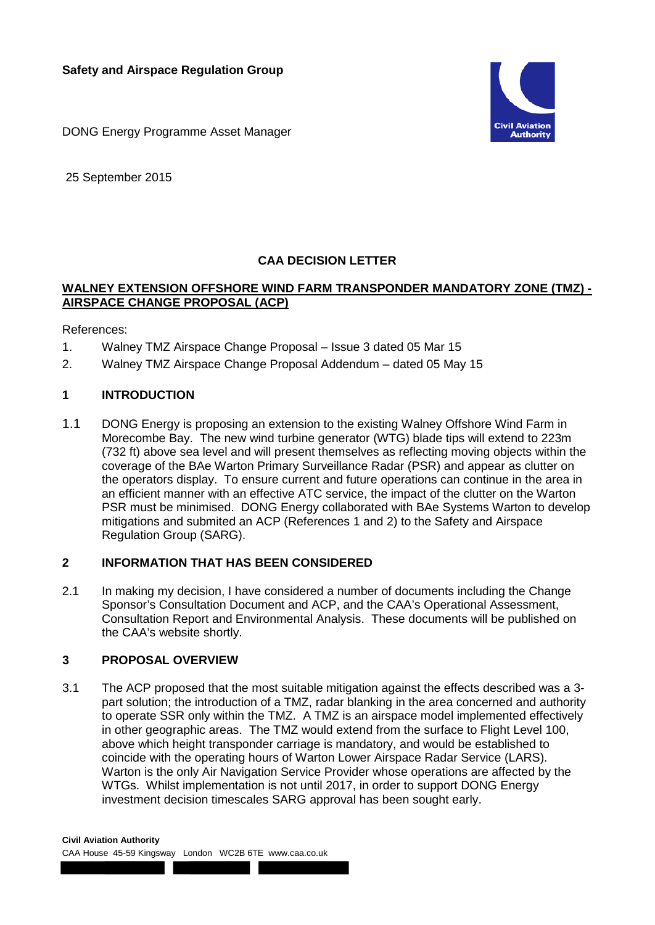

DONG Energy Programme Asset Manager

25 September 2015

# **CAA DECISION LETTER**

### **WALNEY EXTENSION OFFSHORE WIND FARM TRANSPONDER MANDATORY ZONE (TMZ) - AIRSPACE CHANGE PROPOSAL (ACP)**

References:

- 1. Walney TMZ Airspace Change Proposal Issue 3 dated 05 Mar 15
- 2. Walney TMZ Airspace Change Proposal Addendum dated 05 May 15

## **1 INTRODUCTION**

1.1 DONG Energy is proposing an extension to the existing Walney Offshore Wind Farm in Morecombe Bay. The new wind turbine generator (WTG) blade tips will extend to 223m (732 ft) above sea level and will present themselves as reflecting moving objects within the coverage of the BAe Warton Primary Surveillance Radar (PSR) and appear as clutter on the operators display. To ensure current and future operations can continue in the area in an efficient manner with an effective ATC service, the impact of the clutter on the Warton PSR must be minimised. DONG Energy collaborated with BAe Systems Warton to develop mitigations and submited an ACP (References 1 and 2) to the Safety and Airspace Regulation Group (SARG).

#### **2 INFORMATION THAT HAS BEEN CONSIDERED**

2.1 In making my decision, I have considered a number of documents including the Change Sponsor's Consultation Document and ACP, and the CAA's Operational Assessment, Consultation Report and Environmental Analysis. These documents will be published on the CAA's website shortly.

#### **3 PROPOSAL OVERVIEW**

3.1 The ACP proposed that the most suitable mitigation against the effects described was a 3 part solution; the introduction of a TMZ, radar blanking in the area concerned and authority to operate SSR only within the TMZ. A TMZ is an airspace model implemented effectively in other geographic areas. The TMZ would extend from the surface to Flight Level 100, above which height transponder carriage is mandatory, and would be established to coincide with the operating hours of Warton Lower Airspace Radar Service (LARS). Warton is the only Air Navigation Service Provider whose operations are affected by the WTGs. Whilst implementation is not until 2017, in order to support DONG Energy investment decision timescales SARG approval has been sought early.

**Civil Aviation Authority**

CAA House 45-59 Kingsway London WC2B 6TE www.caa.co.uk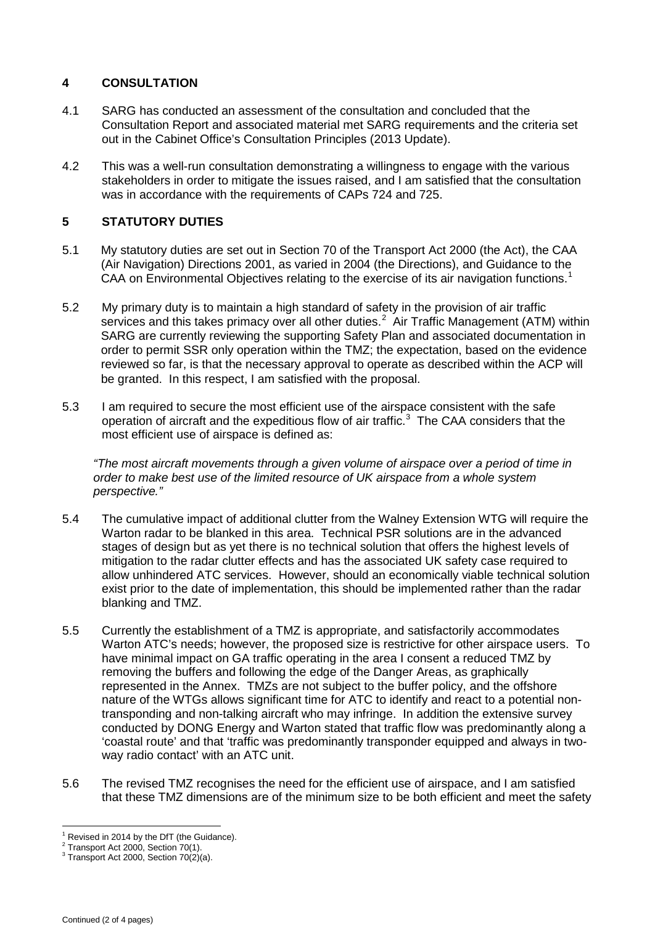## **4 CONSULTATION**

- 4.1 SARG has conducted an assessment of the consultation and concluded that the Consultation Report and associated material met SARG requirements and the criteria set out in the Cabinet Office's Consultation Principles (2013 Update).
- 4.2 This was a well-run consultation demonstrating a willingness to engage with the various stakeholders in order to mitigate the issues raised, and I am satisfied that the consultation was in accordance with the requirements of CAPs 724 and 725.

## **5 STATUTORY DUTIES**

- 5.1 My statutory duties are set out in Section 70 of the Transport Act 2000 (the Act), the CAA (Air Navigation) Directions 2001, as varied in 2004 (the Directions), and Guidance to the CAA on Environmental Objectives relating to the exercise of its air navigation functions.<sup>[1](#page-1-0)</sup>
- 5.2 My primary duty is to maintain a high standard of safety in the provision of air traffic services and this takes primacy over all other duties.<sup>[2](#page-1-1)</sup> Air Traffic Management (ATM) within SARG are currently reviewing the supporting Safety Plan and associated documentation in order to permit SSR only operation within the TMZ; the expectation, based on the evidence reviewed so far, is that the necessary approval to operate as described within the ACP will be granted. In this respect, I am satisfied with the proposal.
- 5.3 I am required to secure the most efficient use of the airspace consistent with the safe operation of aircraft and the expeditious flow of air traffic.<sup>[3](#page-1-2)</sup> The CAA considers that the most efficient use of airspace is defined as:

*"The most aircraft movements through a given volume of airspace over a period of time in order to make best use of the limited resource of UK airspace from a whole system perspective."*

- 5.4 The cumulative impact of additional clutter from the Walney Extension WTG will require the Warton radar to be blanked in this area. Technical PSR solutions are in the advanced stages of design but as yet there is no technical solution that offers the highest levels of mitigation to the radar clutter effects and has the associated UK safety case required to allow unhindered ATC services. However, should an economically viable technical solution exist prior to the date of implementation, this should be implemented rather than the radar blanking and TMZ.
- 5.5 Currently the establishment of a TMZ is appropriate, and satisfactorily accommodates Warton ATC's needs; however, the proposed size is restrictive for other airspace users. To have minimal impact on GA traffic operating in the area I consent a reduced TMZ by removing the buffers and following the edge of the Danger Areas, as graphically represented in the Annex. TMZs are not subject to the buffer policy, and the offshore nature of the WTGs allows significant time for ATC to identify and react to a potential nontransponding and non-talking aircraft who may infringe. In addition the extensive survey conducted by DONG Energy and Warton stated that traffic flow was predominantly along a 'coastal route' and that 'traffic was predominantly transponder equipped and always in twoway radio contact' with an ATC unit.
- 5.6 The revised TMZ recognises the need for the efficient use of airspace, and I am satisfied that these TMZ dimensions are of the minimum size to be both efficient and meet the safety

<span id="page-1-1"></span><span id="page-1-0"></span> $^1$  Revised in 2014 by the DfT (the Guidance).<br> $^2$  Transport Act 2000, Section 70(1).

<span id="page-1-2"></span> $3$  Transport Act 2000, Section 70(2)(a).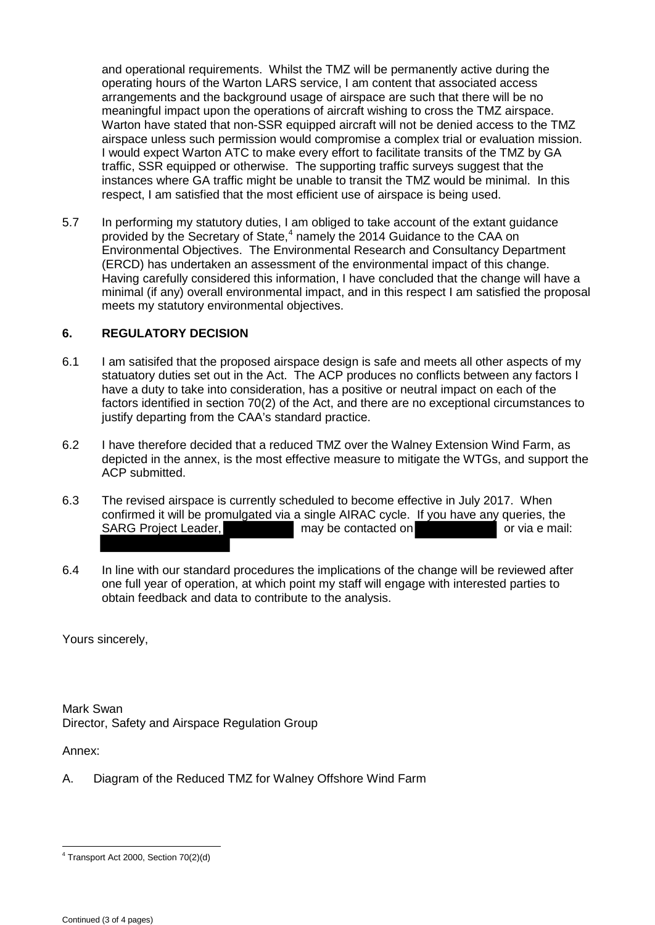and operational requirements. Whilst the TMZ will be permanently active during the operating hours of the Warton LARS service, I am content that associated access arrangements and the background usage of airspace are such that there will be no meaningful impact upon the operations of aircraft wishing to cross the TMZ airspace. Warton have stated that non-SSR equipped aircraft will not be denied access to the TMZ airspace unless such permission would compromise a complex trial or evaluation mission. I would expect Warton ATC to make every effort to facilitate transits of the TMZ by GA traffic, SSR equipped or otherwise. The supporting traffic surveys suggest that the instances where GA traffic might be unable to transit the TMZ would be minimal. In this respect, I am satisfied that the most efficient use of airspace is being used.

5.7 In performing my statutory duties, I am obliged to take account of the extant guidance provided by the Secretary of State,<sup>[4](#page-2-0)</sup> namely the 2014 Guidance to the CAA on Environmental Objectives. The Environmental Research and Consultancy Department (ERCD) has undertaken an assessment of the environmental impact of this change. Having carefully considered this information, I have concluded that the change will have a minimal (if any) overall environmental impact, and in this respect I am satisfied the proposal meets my statutory environmental objectives.

## **6. REGULATORY DECISION**

- 6.1 I am satisifed that the proposed airspace design is safe and meets all other aspects of my statuatory duties set out in the Act. The ACP produces no conflicts between any factors I have a duty to take into consideration, has a positive or neutral impact on each of the factors identified in section 70(2) of the Act, and there are no exceptional circumstances to justify departing from the CAA's standard practice.
- 6.2 I have therefore decided that a reduced TMZ over the Walney Extension Wind Farm, as depicted in the annex, is the most effective measure to mitigate the WTGs, and support the ACP submitted.
- 6.3 The revised airspace is currently scheduled to become effective in July 2017. When confirmed it will be promulgated via a single AIRAC cycle. If you have any queries, the SARG Project Leader, may be contacted on or via e mail:
- 6.4 In line with our standard procedures the implications of the change will be reviewed after one full year of operation, at which point my staff will engage with interested parties to obtain feedback and data to contribute to the analysis.

Yours sincerely,

Mark Swan Director, Safety and Airspace Regulation Group

Annex:

A. Diagram of the Reduced TMZ for Walney Offshore Wind Farm

<span id="page-2-0"></span> $\overline{a}$ <sup>4</sup> Transport Act 2000, Section 70(2)(d)